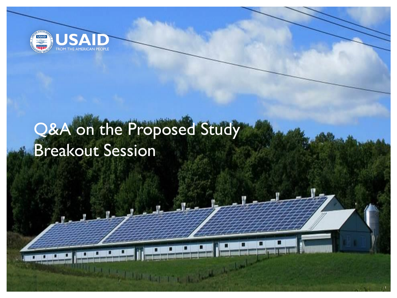

# Q&A on the Proposed Study Breakout Session

1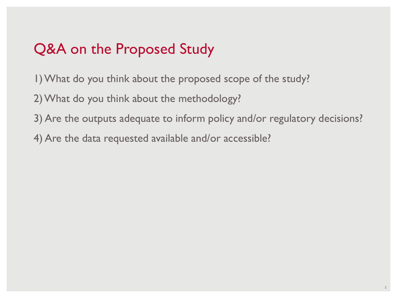## Q&A on the Proposed Study

- 1) What do you think about the proposed scope of the study?
- 2) What do you think about the methodology?
- 3) Are the outputs adequate to inform policy and/or regulatory decisions?
- 4) Are the data requested available and/or accessible?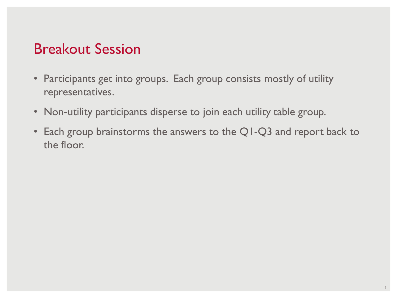### Breakout Session

- Participants get into groups. Each group consists mostly of utility representatives.
- Non-utility participants disperse to join each utility table group.
- Each group brainstorms the answers to the Q1-Q3 and report back to the floor.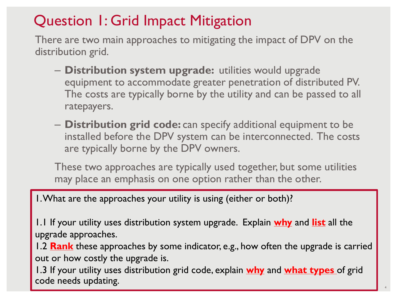## Question 1: Grid Impact Mitigation

There are two main approaches to mitigating the impact of DPV on the distribution grid.

- **Distribution system upgrade:** utilities would upgrade equipment to accommodate greater penetration of distributed PV. The costs are typically borne by the utility and can be passed to all ratepayers.
- **Distribution grid code:** can specify additional equipment to be installed before the DPV system can be interconnected. The costs are typically borne by the DPV owners.

These two approaches are typically used together, but some utilities may place an emphasis on one option rather than the other.

1. What are the approaches your utility is using (either or both)?

1.1 If your utility uses distribution system upgrade. Explain **why** and **list** all the upgrade approaches.

1.2 **Rank** these approaches by some indicator, e.g., how often the upgrade is carried out or how costly the upgrade is.

1.3 If your utility uses distribution grid code, explain **why** and **what types** of grid code needs updating.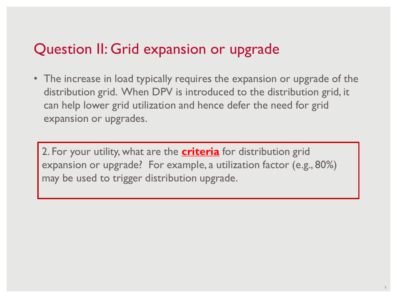### Question II: Grid expansion or upgrade

• The increase in load typically requires the expansion or upgrade of the distribution grid. When DPV is introduced to the distribution grid, it can help lower grid utilization and hence defer the need for grid expansion or upgrades.

2. For your utility, what are the **criteria** for distribution grid expansion or upgrade? For example, a utilization factor (e.g., 80%) may be used to trigger distribution upgrade.